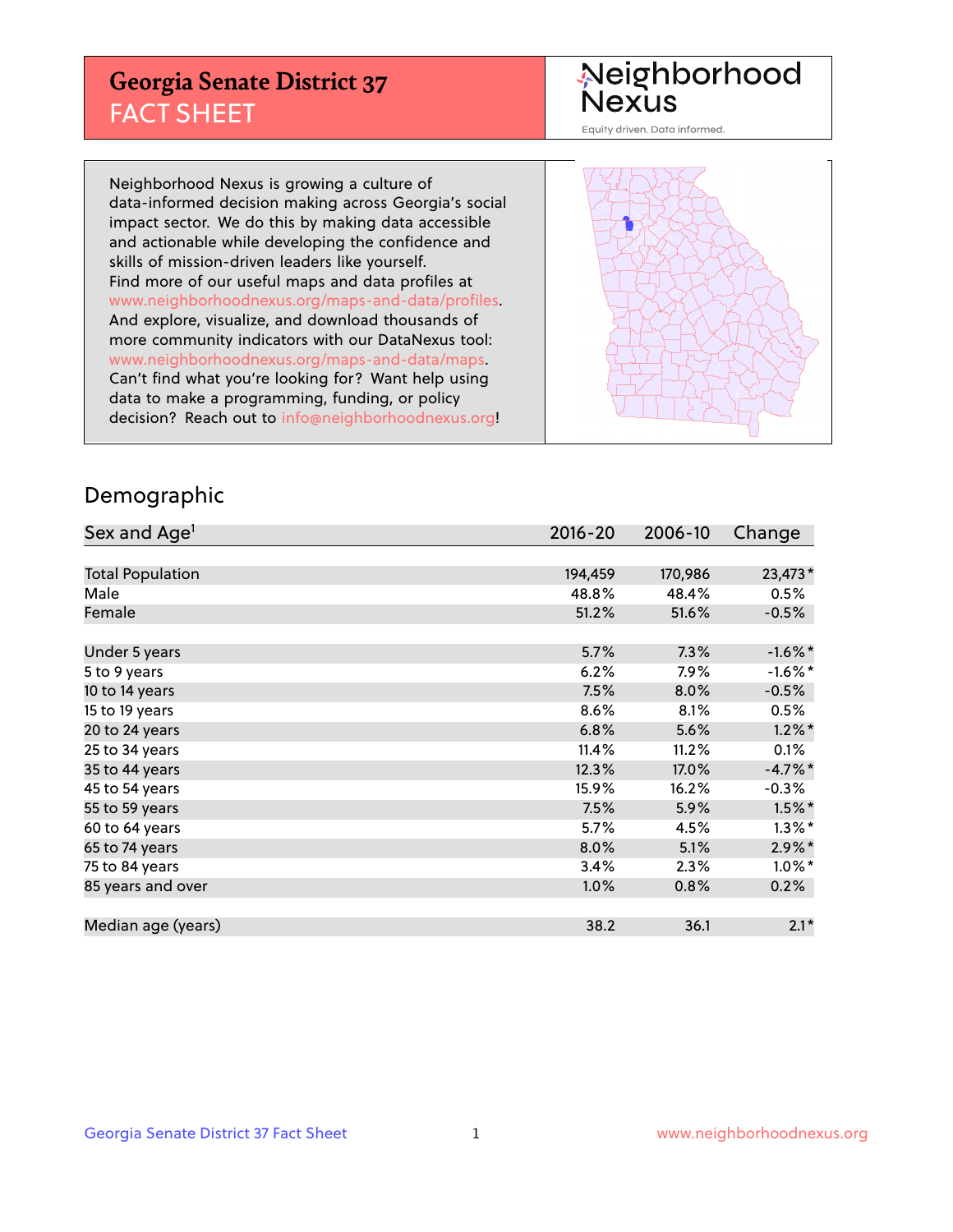## **Georgia Senate District 37** FACT SHEET

# Neighborhood<br>Nexus

Equity driven. Data informed.

Neighborhood Nexus is growing a culture of data-informed decision making across Georgia's social impact sector. We do this by making data accessible and actionable while developing the confidence and skills of mission-driven leaders like yourself. Find more of our useful maps and data profiles at www.neighborhoodnexus.org/maps-and-data/profiles. And explore, visualize, and download thousands of more community indicators with our DataNexus tool: www.neighborhoodnexus.org/maps-and-data/maps. Can't find what you're looking for? Want help using data to make a programming, funding, or policy decision? Reach out to [info@neighborhoodnexus.org!](mailto:info@neighborhoodnexus.org)



### Demographic

| Sex and Age <sup>1</sup> | $2016 - 20$ | 2006-10 | Change     |
|--------------------------|-------------|---------|------------|
|                          |             |         |            |
| <b>Total Population</b>  | 194,459     | 170,986 | 23,473*    |
| Male                     | 48.8%       | 48.4%   | 0.5%       |
| Female                   | 51.2%       | 51.6%   | $-0.5%$    |
|                          |             |         |            |
| Under 5 years            | 5.7%        | 7.3%    | $-1.6\%$ * |
| 5 to 9 years             | 6.2%        | 7.9%    | $-1.6\%$ * |
| 10 to 14 years           | 7.5%        | 8.0%    | $-0.5%$    |
| 15 to 19 years           | 8.6%        | 8.1%    | 0.5%       |
| 20 to 24 years           | 6.8%        | 5.6%    | $1.2\%$ *  |
| 25 to 34 years           | 11.4%       | 11.2%   | 0.1%       |
| 35 to 44 years           | 12.3%       | 17.0%   | $-4.7\%$ * |
| 45 to 54 years           | 15.9%       | 16.2%   | $-0.3%$    |
| 55 to 59 years           | 7.5%        | 5.9%    | $1.5\%$ *  |
| 60 to 64 years           | 5.7%        | 4.5%    | $1.3\%$ *  |
| 65 to 74 years           | 8.0%        | 5.1%    | $2.9\%$ *  |
| 75 to 84 years           | 3.4%        | 2.3%    | $1.0\%$ *  |
| 85 years and over        | 1.0%        | 0.8%    | 0.2%       |
|                          |             |         |            |
| Median age (years)       | 38.2        | 36.1    | $2.1*$     |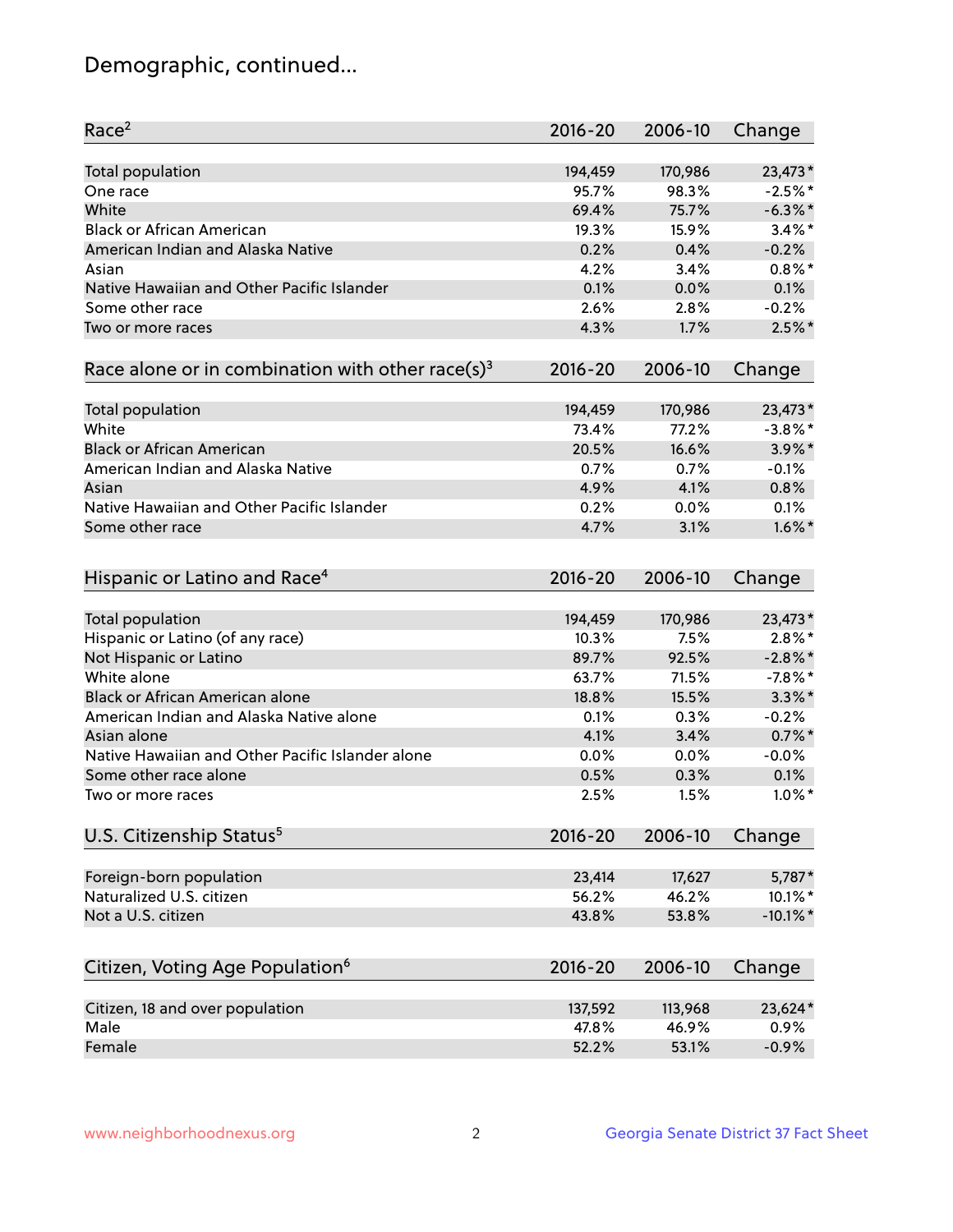## Demographic, continued...

| Race <sup>2</sup>                                            | $2016 - 20$ | 2006-10 | Change      |
|--------------------------------------------------------------|-------------|---------|-------------|
| <b>Total population</b>                                      | 194,459     | 170,986 | 23,473*     |
| One race                                                     | 95.7%       | 98.3%   | $-2.5%$ *   |
| White                                                        | 69.4%       | 75.7%   | $-6.3\%$ *  |
| <b>Black or African American</b>                             | 19.3%       | 15.9%   | $3.4\%$ *   |
| American Indian and Alaska Native                            | 0.2%        | 0.4%    | $-0.2%$     |
| Asian                                                        | 4.2%        | 3.4%    | $0.8\%$ *   |
| Native Hawaiian and Other Pacific Islander                   | 0.1%        | 0.0%    | 0.1%        |
| Some other race                                              | 2.6%        | 2.8%    | $-0.2%$     |
| Two or more races                                            | 4.3%        | 1.7%    | $2.5\%$ *   |
| Race alone or in combination with other race(s) <sup>3</sup> | $2016 - 20$ | 2006-10 | Change      |
| Total population                                             | 194,459     | 170,986 | 23,473*     |
| White                                                        | 73.4%       | 77.2%   | $-3.8\%$ *  |
| <b>Black or African American</b>                             | 20.5%       | 16.6%   | $3.9\%$ *   |
| American Indian and Alaska Native                            | 0.7%        | 0.7%    | $-0.1%$     |
| Asian                                                        | 4.9%        | 4.1%    | 0.8%        |
| Native Hawaiian and Other Pacific Islander                   | 0.2%        | 0.0%    | 0.1%        |
| Some other race                                              | 4.7%        | 3.1%    | $1.6\%$ *   |
| Hispanic or Latino and Race <sup>4</sup>                     | $2016 - 20$ | 2006-10 | Change      |
| <b>Total population</b>                                      | 194,459     | 170,986 | 23,473*     |
| Hispanic or Latino (of any race)                             | 10.3%       | 7.5%    | $2.8\%$ *   |
| Not Hispanic or Latino                                       | 89.7%       | 92.5%   | $-2.8\%$ *  |
| White alone                                                  | 63.7%       | 71.5%   | $-7.8\%$ *  |
| <b>Black or African American alone</b>                       | 18.8%       | 15.5%   | $3.3\%$ *   |
| American Indian and Alaska Native alone                      | 0.1%        | 0.3%    | $-0.2%$     |
| Asian alone                                                  | 4.1%        | 3.4%    | $0.7%$ *    |
| Native Hawaiian and Other Pacific Islander alone             | 0.0%        | 0.0%    | $-0.0%$     |
| Some other race alone                                        | 0.5%        | 0.3%    | 0.1%        |
| Two or more races                                            | 2.5%        | 1.5%    | $1.0\%$ *   |
| U.S. Citizenship Status <sup>5</sup>                         | $2016 - 20$ | 2006-10 | Change      |
| Foreign-born population                                      | 23,414      | 17,627  | 5,787*      |
| Naturalized U.S. citizen                                     | 56.2%       | 46.2%   | 10.1%*      |
| Not a U.S. citizen                                           | 43.8%       | 53.8%   | $-10.1\%$ * |
|                                                              |             |         |             |
| Citizen, Voting Age Population <sup>6</sup>                  | $2016 - 20$ | 2006-10 | Change      |
| Citizen, 18 and over population                              | 137,592     | 113,968 | 23,624*     |
| Male                                                         | 47.8%       | 46.9%   | 0.9%        |
| Female                                                       | 52.2%       | 53.1%   | $-0.9%$     |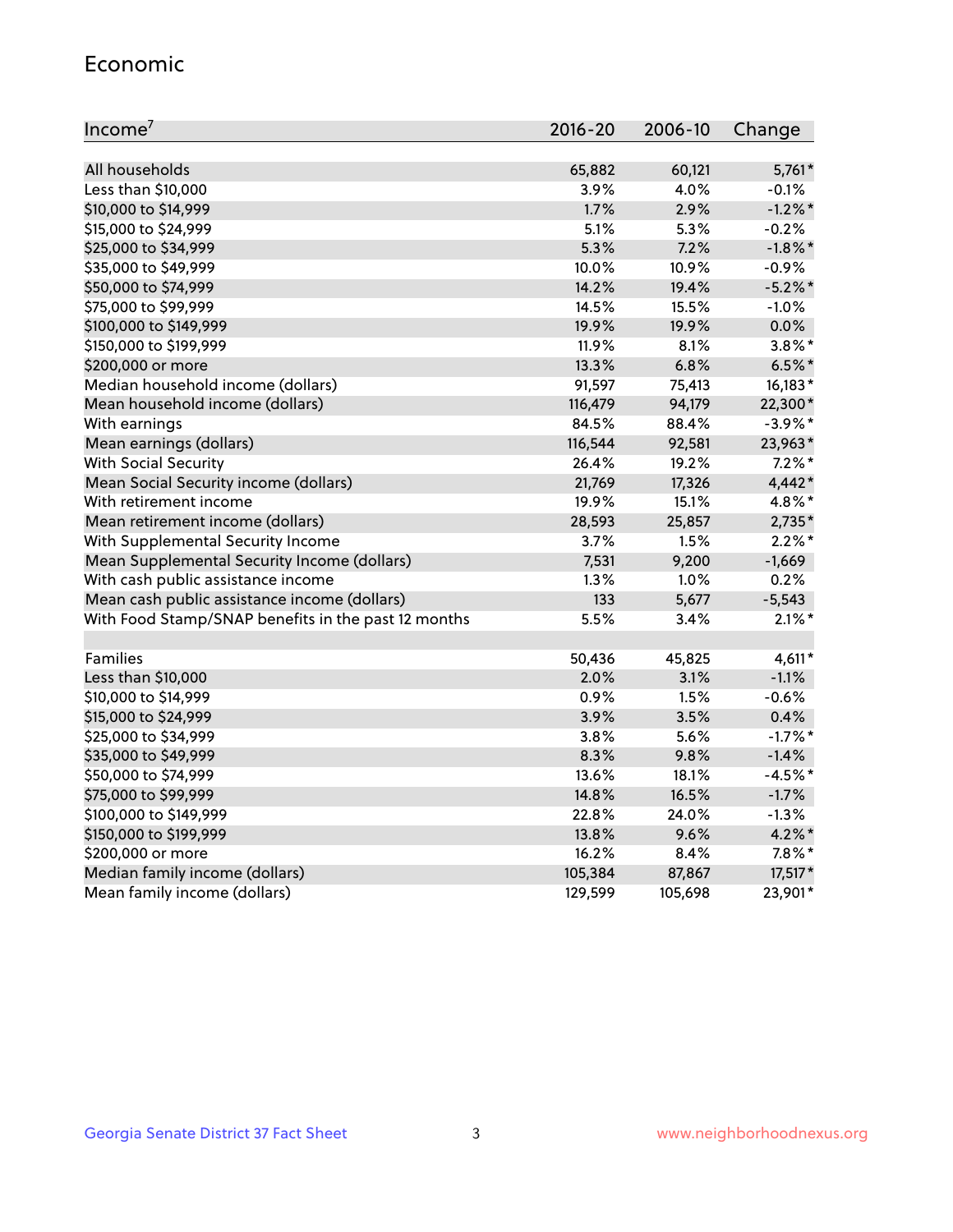#### Economic

| Income <sup>7</sup>                                 | $2016 - 20$ | 2006-10 | Change     |
|-----------------------------------------------------|-------------|---------|------------|
|                                                     |             |         |            |
| All households                                      | 65,882      | 60,121  | $5,761*$   |
| Less than \$10,000                                  | 3.9%        | 4.0%    | $-0.1%$    |
| \$10,000 to \$14,999                                | 1.7%        | 2.9%    | $-1.2\%$ * |
| \$15,000 to \$24,999                                | 5.1%        | 5.3%    | $-0.2%$    |
| \$25,000 to \$34,999                                | 5.3%        | 7.2%    | $-1.8\%$ * |
| \$35,000 to \$49,999                                | 10.0%       | 10.9%   | $-0.9%$    |
| \$50,000 to \$74,999                                | 14.2%       | 19.4%   | $-5.2\%$ * |
| \$75,000 to \$99,999                                | 14.5%       | 15.5%   | $-1.0%$    |
| \$100,000 to \$149,999                              | 19.9%       | 19.9%   | 0.0%       |
| \$150,000 to \$199,999                              | 11.9%       | 8.1%    | $3.8\%$ *  |
| \$200,000 or more                                   | 13.3%       | 6.8%    | $6.5%$ *   |
| Median household income (dollars)                   | 91,597      | 75,413  | 16,183*    |
| Mean household income (dollars)                     | 116,479     | 94,179  | 22,300*    |
| With earnings                                       | 84.5%       | 88.4%   | $-3.9\%$ * |
| Mean earnings (dollars)                             | 116,544     | 92,581  | 23,963*    |
| <b>With Social Security</b>                         | 26.4%       | 19.2%   | $7.2\%$ *  |
| Mean Social Security income (dollars)               | 21,769      | 17,326  | 4,442*     |
| With retirement income                              | 19.9%       | 15.1%   | 4.8%*      |
| Mean retirement income (dollars)                    | 28,593      | 25,857  | $2,735*$   |
| With Supplemental Security Income                   | 3.7%        | 1.5%    | $2.2\%$ *  |
| Mean Supplemental Security Income (dollars)         | 7,531       | 9,200   | $-1,669$   |
| With cash public assistance income                  | 1.3%        | 1.0%    | 0.2%       |
| Mean cash public assistance income (dollars)        | 133         | 5,677   | $-5,543$   |
| With Food Stamp/SNAP benefits in the past 12 months | 5.5%        | 3.4%    | $2.1\%$ *  |
|                                                     |             |         |            |
| Families                                            | 50,436      | 45,825  | $4,611*$   |
| Less than \$10,000                                  | $2.0\%$     | 3.1%    | $-1.1%$    |
| \$10,000 to \$14,999                                | 0.9%        | 1.5%    | $-0.6%$    |
| \$15,000 to \$24,999                                | 3.9%        | 3.5%    | 0.4%       |
| \$25,000 to \$34,999                                | 3.8%        | 5.6%    | $-1.7%$ *  |
| \$35,000 to \$49,999                                | 8.3%        | 9.8%    | $-1.4%$    |
| \$50,000 to \$74,999                                | 13.6%       | 18.1%   | $-4.5%$ *  |
| \$75,000 to \$99,999                                | 14.8%       | 16.5%   | $-1.7%$    |
| \$100,000 to \$149,999                              | 22.8%       | 24.0%   | $-1.3%$    |
| \$150,000 to \$199,999                              | 13.8%       | 9.6%    | $4.2\%$ *  |
| \$200,000 or more                                   | 16.2%       | 8.4%    | $7.8\%$ *  |
| Median family income (dollars)                      | 105,384     | 87,867  | 17,517*    |
| Mean family income (dollars)                        | 129,599     | 105,698 | 23,901*    |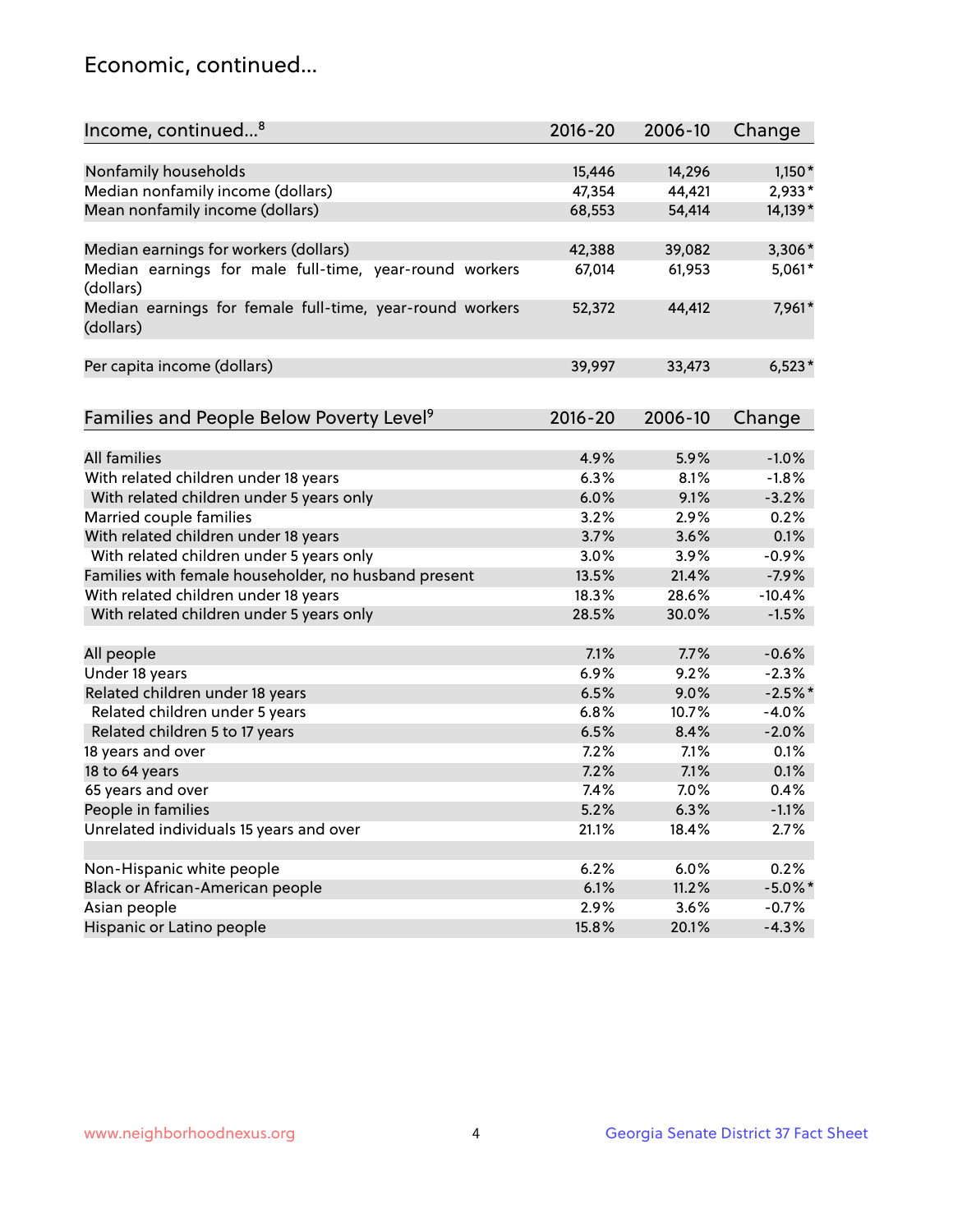## Economic, continued...

| Income, continued <sup>8</sup>                                        | $2016 - 20$ | 2006-10 | Change     |
|-----------------------------------------------------------------------|-------------|---------|------------|
|                                                                       |             |         |            |
| Nonfamily households                                                  | 15,446      | 14,296  | $1,150*$   |
| Median nonfamily income (dollars)                                     | 47,354      | 44,421  | 2,933*     |
| Mean nonfamily income (dollars)                                       | 68,553      | 54,414  | 14,139*    |
| Median earnings for workers (dollars)                                 | 42,388      | 39,082  | 3,306*     |
| Median earnings for male full-time, year-round workers                | 67,014      | 61,953  | 5,061*     |
| (dollars)                                                             |             |         |            |
| Median earnings for female full-time, year-round workers<br>(dollars) | 52,372      | 44,412  | 7,961*     |
| Per capita income (dollars)                                           | 39,997      | 33,473  | $6,523*$   |
|                                                                       |             |         |            |
| Families and People Below Poverty Level <sup>9</sup>                  | 2016-20     | 2006-10 | Change     |
|                                                                       |             |         |            |
| <b>All families</b>                                                   | 4.9%        | 5.9%    | $-1.0%$    |
| With related children under 18 years                                  | 6.3%        | 8.1%    | $-1.8%$    |
| With related children under 5 years only                              | 6.0%        | 9.1%    | $-3.2%$    |
| Married couple families                                               | 3.2%        | 2.9%    | 0.2%       |
| With related children under 18 years                                  | 3.7%        | 3.6%    | 0.1%       |
| With related children under 5 years only                              | 3.0%        | 3.9%    | $-0.9%$    |
| Families with female householder, no husband present                  | 13.5%       | 21.4%   | $-7.9%$    |
| With related children under 18 years                                  | 18.3%       | 28.6%   | $-10.4%$   |
| With related children under 5 years only                              | 28.5%       | 30.0%   | $-1.5%$    |
| All people                                                            | 7.1%        | 7.7%    | $-0.6%$    |
| Under 18 years                                                        | 6.9%        | 9.2%    | $-2.3%$    |
| Related children under 18 years                                       | 6.5%        | 9.0%    | $-2.5%$ *  |
| Related children under 5 years                                        | 6.8%        | 10.7%   | $-4.0%$    |
| Related children 5 to 17 years                                        | 6.5%        | 8.4%    | $-2.0%$    |
| 18 years and over                                                     | 7.2%        | 7.1%    | 0.1%       |
| 18 to 64 years                                                        | 7.2%        | 7.1%    | 0.1%       |
| 65 years and over                                                     | 7.4%        | 7.0%    | 0.4%       |
|                                                                       |             |         |            |
| People in families                                                    | 5.2%        | 6.3%    | $-1.1%$    |
| Unrelated individuals 15 years and over                               | 21.1%       | 18.4%   | 2.7%       |
|                                                                       |             |         |            |
| Non-Hispanic white people                                             | 6.2%        | 6.0%    | 0.2%       |
| Black or African-American people                                      | 6.1%        | 11.2%   | $-5.0\%$ * |
| Asian people                                                          | 2.9%        | 3.6%    | $-0.7%$    |
| Hispanic or Latino people                                             | 15.8%       | 20.1%   | $-4.3%$    |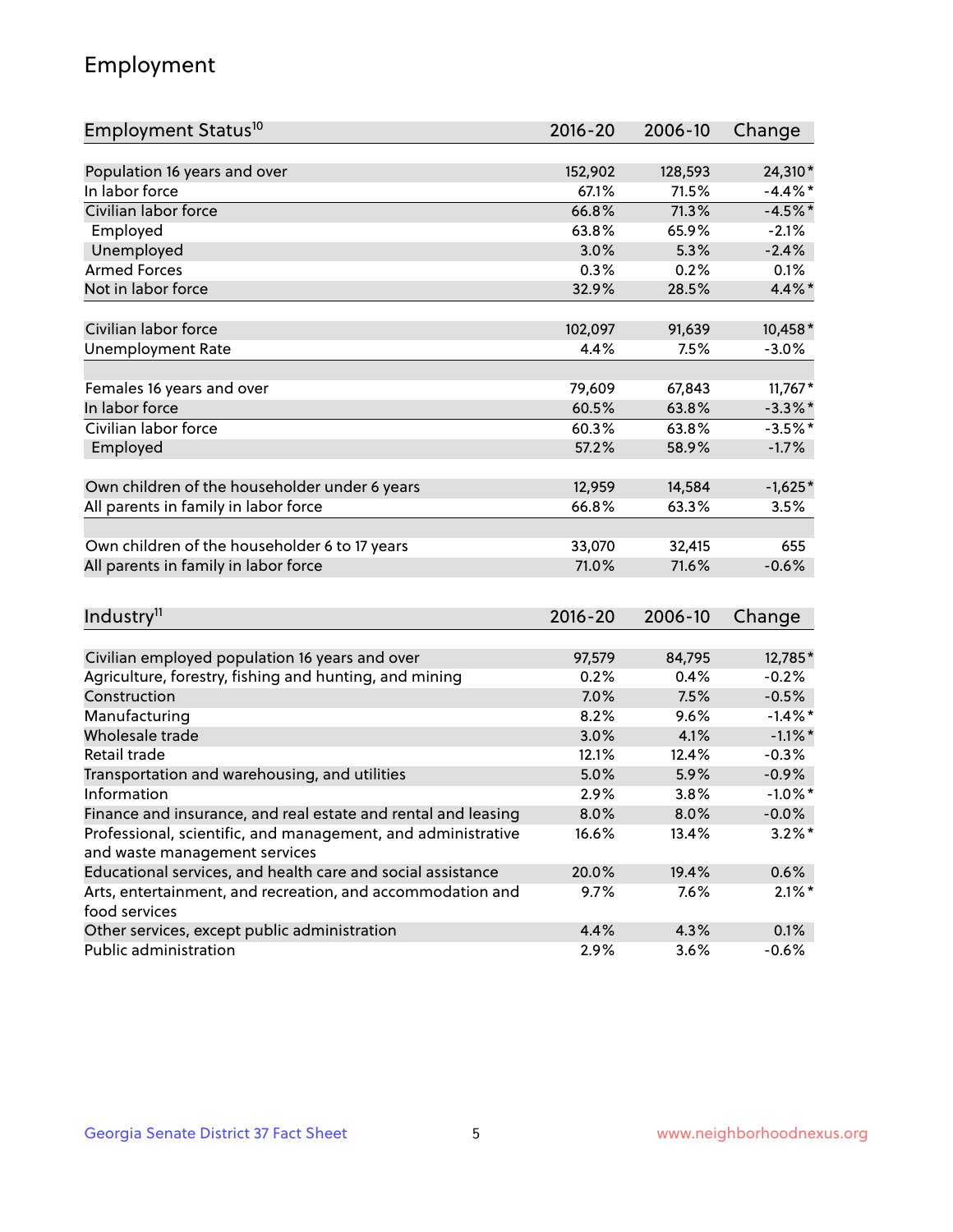## Employment

| Employment Status <sup>10</sup>                               | $2016 - 20$ | 2006-10 | Change     |
|---------------------------------------------------------------|-------------|---------|------------|
| Population 16 years and over                                  | 152,902     | 128,593 | 24,310*    |
| In labor force                                                | 67.1%       | 71.5%   | $-4.4\%$ * |
| Civilian labor force                                          | 66.8%       | 71.3%   | $-4.5%$ *  |
| Employed                                                      | 63.8%       | 65.9%   | $-2.1%$    |
| Unemployed                                                    | 3.0%        | 5.3%    | $-2.4%$    |
| <b>Armed Forces</b>                                           | 0.3%        | 0.2%    | 0.1%       |
| Not in labor force                                            | 32.9%       | 28.5%   | 4.4%*      |
|                                                               |             |         |            |
| Civilian labor force                                          | 102,097     | 91,639  | 10,458*    |
| <b>Unemployment Rate</b>                                      | 4.4%        | 7.5%    | $-3.0%$    |
|                                                               |             |         |            |
| Females 16 years and over                                     | 79,609      | 67,843  | $11,767*$  |
| In labor force                                                | 60.5%       | 63.8%   | $-3.3\%$ * |
| Civilian labor force                                          | 60.3%       | 63.8%   | $-3.5%$ *  |
| Employed                                                      | 57.2%       | 58.9%   | $-1.7%$    |
|                                                               |             |         |            |
| Own children of the householder under 6 years                 | 12,959      | 14,584  | $-1,625*$  |
| All parents in family in labor force                          | 66.8%       | 63.3%   | 3.5%       |
|                                                               |             |         |            |
| Own children of the householder 6 to 17 years                 | 33,070      | 32,415  | 655        |
| All parents in family in labor force                          | 71.0%       | 71.6%   | $-0.6%$    |
|                                                               |             |         |            |
| Industry <sup>11</sup>                                        | $2016 - 20$ | 2006-10 | Change     |
|                                                               |             |         |            |
| Civilian employed population 16 years and over                | 97,579      | 84,795  | 12,785*    |
| Agriculture, forestry, fishing and hunting, and mining        | 0.2%        | 0.4%    | $-0.2%$    |
| Construction                                                  | 7.0%        | 7.5%    | $-0.5%$    |
| Manufacturing                                                 | 8.2%        | 9.6%    | $-1.4\%$ * |
| Wholesale trade                                               | 3.0%        | 4.1%    | $-1.1\%$ * |
| Retail trade                                                  | 12.1%       | 12.4%   | $-0.3%$    |
| Transportation and warehousing, and utilities                 | 5.0%        | 5.9%    | $-0.9%$    |
| Information                                                   | 2.9%        | 3.8%    | $-1.0\%$ * |
| Finance and insurance, and real estate and rental and leasing | 8.0%        | 8.0%    | $-0.0\%$   |
| Professional, scientific, and management, and administrative  | 16.6%       | 13.4%   | $3.2\%$ *  |
| and waste management services                                 |             |         |            |
| Educational services, and health care and social assistance   | 20.0%       | 19.4%   | 0.6%       |
| Arts, entertainment, and recreation, and accommodation and    | 9.7%        | 7.6%    | $2.1\%$ *  |
| food services                                                 |             |         |            |
| Other services, except public administration                  | 4.4%        | 4.3%    | 0.1%       |
| Public administration                                         | 2.9%        | 3.6%    | $-0.6%$    |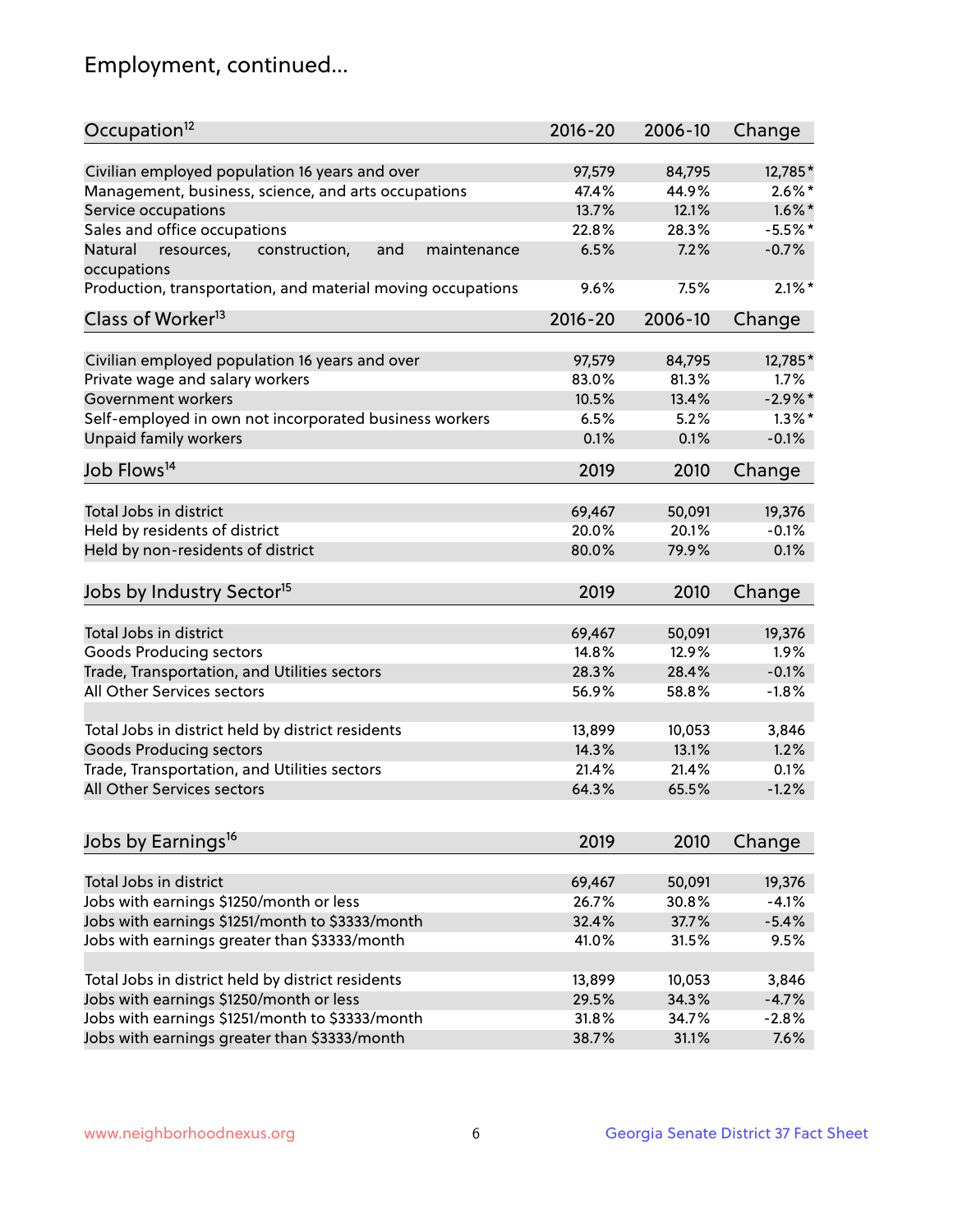## Employment, continued...

| Occupation <sup>12</sup>                                                    | $2016 - 20$ | 2006-10 | Change    |
|-----------------------------------------------------------------------------|-------------|---------|-----------|
| Civilian employed population 16 years and over                              | 97,579      | 84,795  | 12,785*   |
| Management, business, science, and arts occupations                         | 47.4%       | 44.9%   | $2.6\%$ * |
| Service occupations                                                         | 13.7%       | 12.1%   | $1.6\%$ * |
| Sales and office occupations                                                | 22.8%       | 28.3%   | $-5.5%$ * |
|                                                                             |             |         | $-0.7%$   |
| Natural<br>and<br>resources,<br>construction,<br>maintenance<br>occupations | 6.5%        | 7.2%    |           |
| Production, transportation, and material moving occupations                 | 9.6%        | 7.5%    | $2.1\%$ * |
| Class of Worker <sup>13</sup>                                               | $2016 - 20$ | 2006-10 | Change    |
| Civilian employed population 16 years and over                              | 97,579      | 84,795  | 12,785*   |
| Private wage and salary workers                                             | 83.0%       | 81.3%   | 1.7%      |
| Government workers                                                          | 10.5%       | 13.4%   | $-2.9%$ * |
| Self-employed in own not incorporated business workers                      | 6.5%        | 5.2%    | $1.3\%$ * |
| Unpaid family workers                                                       | 0.1%        | 0.1%    | $-0.1%$   |
|                                                                             |             |         |           |
| Job Flows <sup>14</sup>                                                     | 2019        | 2010    | Change    |
| Total Jobs in district                                                      | 69,467      | 50,091  | 19,376    |
| Held by residents of district                                               | 20.0%       | 20.1%   | $-0.1%$   |
| Held by non-residents of district                                           | 80.0%       | 79.9%   | 0.1%      |
|                                                                             |             |         |           |
| Jobs by Industry Sector <sup>15</sup>                                       | 2019        | 2010    | Change    |
| Total Jobs in district                                                      |             |         |           |
|                                                                             | 69,467      | 50,091  | 19,376    |
| Goods Producing sectors                                                     | 14.8%       | 12.9%   | 1.9%      |
| Trade, Transportation, and Utilities sectors                                | 28.3%       | 28.4%   | $-0.1%$   |
| All Other Services sectors                                                  | 56.9%       | 58.8%   | $-1.8%$   |
| Total Jobs in district held by district residents                           | 13,899      | 10,053  | 3,846     |
| <b>Goods Producing sectors</b>                                              | 14.3%       | 13.1%   | 1.2%      |
| Trade, Transportation, and Utilities sectors                                | 21.4%       | 21.4%   | 0.1%      |
| All Other Services sectors                                                  | 64.3%       | 65.5%   | $-1.2%$   |
|                                                                             |             |         |           |
| Jobs by Earnings <sup>16</sup>                                              | 2019        | 2010    | Change    |
|                                                                             |             |         |           |
| Total Jobs in district                                                      | 69,467      | 50,091  | 19,376    |
| Jobs with earnings \$1250/month or less                                     | 26.7%       | 30.8%   | $-4.1%$   |
| Jobs with earnings \$1251/month to \$3333/month                             | 32.4%       | 37.7%   | $-5.4%$   |
| Jobs with earnings greater than \$3333/month                                | 41.0%       | 31.5%   | 9.5%      |
| Total Jobs in district held by district residents                           | 13,899      | 10,053  | 3,846     |
| Jobs with earnings \$1250/month or less                                     | 29.5%       | 34.3%   | $-4.7%$   |
| Jobs with earnings \$1251/month to \$3333/month                             | 31.8%       | 34.7%   | $-2.8%$   |
| Jobs with earnings greater than \$3333/month                                | 38.7%       | 31.1%   | 7.6%      |
|                                                                             |             |         |           |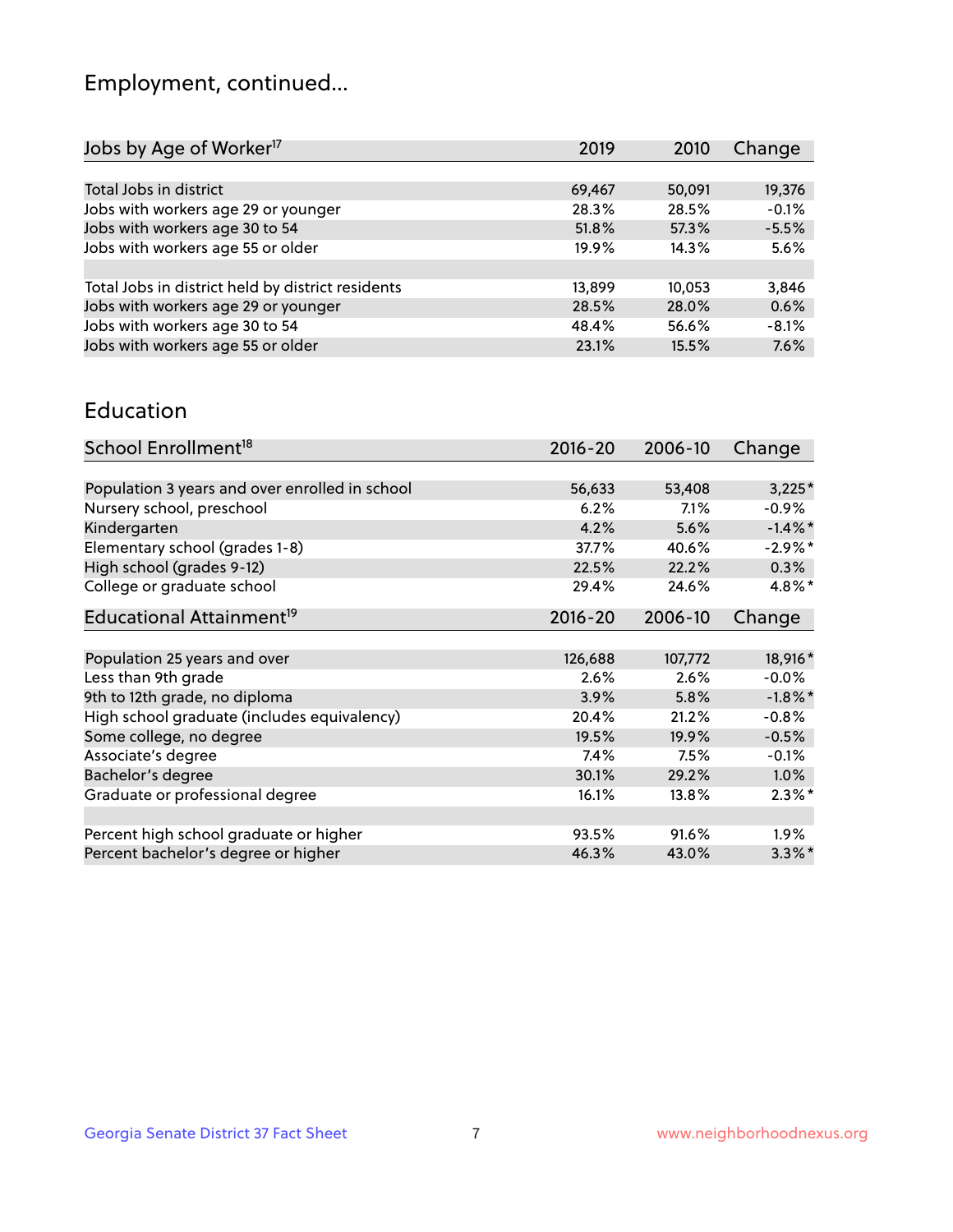## Employment, continued...

| 2019   | 2010   | Change  |
|--------|--------|---------|
|        |        |         |
| 69,467 | 50,091 | 19,376  |
| 28.3%  | 28.5%  | $-0.1%$ |
| 51.8%  | 57.3%  | $-5.5%$ |
| 19.9%  | 14.3%  | 5.6%    |
|        |        |         |
| 13,899 | 10,053 | 3,846   |
| 28.5%  | 28.0%  | 0.6%    |
| 48.4%  | 56.6%  | $-8.1%$ |
| 23.1%  | 15.5%  | 7.6%    |
|        |        |         |

#### Education

| School Enrollment <sup>18</sup>                | $2016 - 20$ | 2006-10  | Change     |
|------------------------------------------------|-------------|----------|------------|
|                                                |             |          |            |
| Population 3 years and over enrolled in school | 56,633      | 53,408   | $3,225*$   |
| Nursery school, preschool                      | 6.2%        | 7.1%     | $-0.9\%$   |
| Kindergarten                                   | 4.2%        | 5.6%     | $-1.4\%$ * |
| Elementary school (grades 1-8)                 | 37.7%       | 40.6%    | $-2.9%$ *  |
| High school (grades 9-12)                      | 22.5%       | 22.2%    | $0.3\%$    |
| College or graduate school                     | 29.4%       | 24.6%    | 4.8%*      |
| Educational Attainment <sup>19</sup>           | $2016 - 20$ | 2006-10  | Change     |
|                                                |             |          |            |
| Population 25 years and over                   | 126,688     | 107,772  | 18,916*    |
| Less than 9th grade                            | 2.6%        | 2.6%     | $-0.0%$    |
| 9th to 12th grade, no diploma                  | 3.9%        | 5.8%     | $-1.8\%$ * |
| High school graduate (includes equivalency)    | 20.4%       | 21.2%    | $-0.8%$    |
| Some college, no degree                        | 19.5%       | 19.9%    | $-0.5%$    |
| Associate's degree                             | 7.4%        | 7.5%     | $-0.1%$    |
| Bachelor's degree                              | 30.1%       | 29.2%    | $1.0\%$    |
| Graduate or professional degree                | 16.1%       | $13.8\%$ | $2.3\%$ *  |
|                                                |             |          |            |
| Percent high school graduate or higher         | 93.5%       | 91.6%    | $1.9\%$    |
| Percent bachelor's degree or higher            | 46.3%       | 43.0%    | $3.3\%$ *  |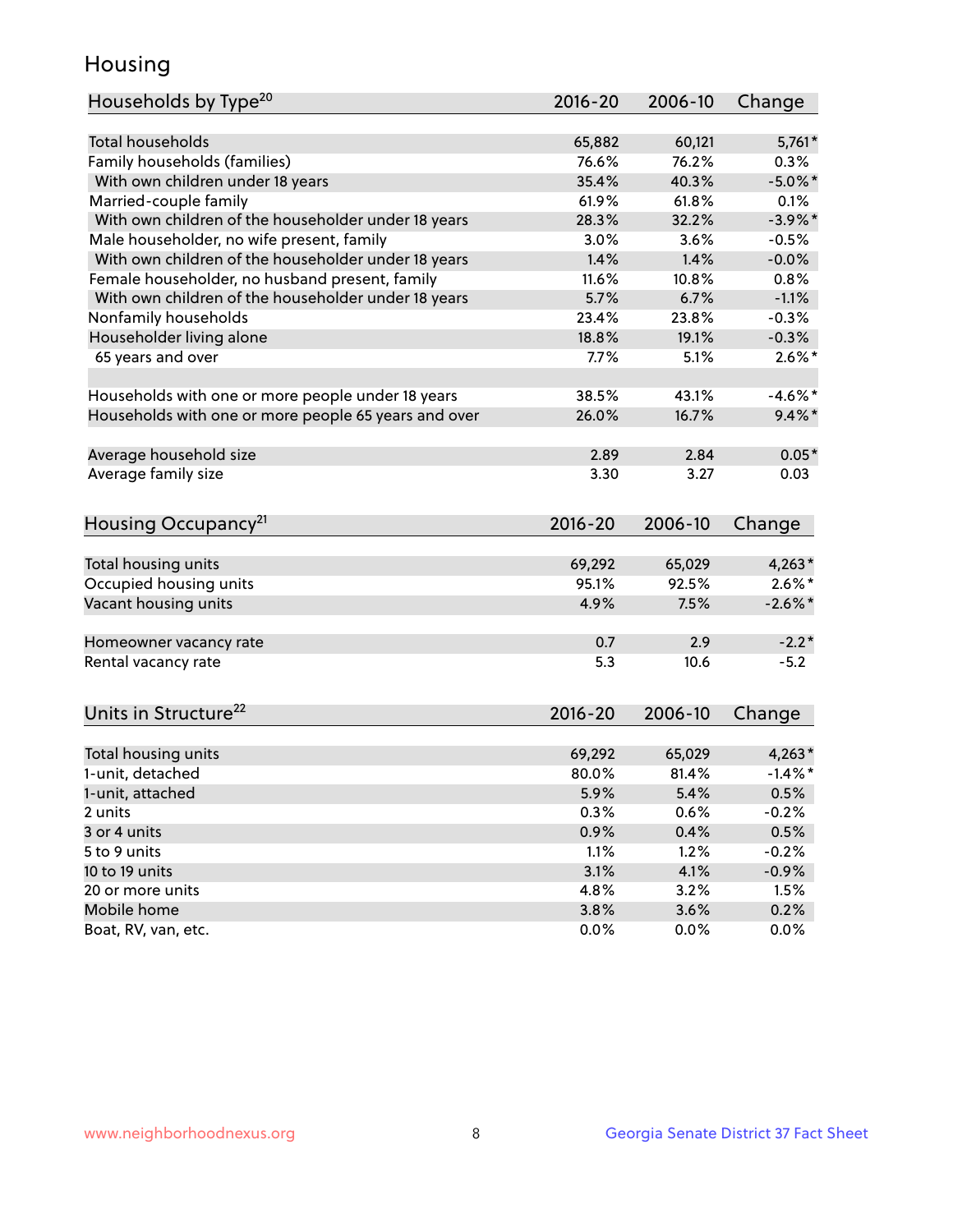## Housing

| Households by Type <sup>20</sup>                     | 2016-20         | 2006-10         | Change                |
|------------------------------------------------------|-----------------|-----------------|-----------------------|
|                                                      |                 |                 |                       |
| <b>Total households</b>                              | 65,882          | 60,121          | $5,761*$              |
| Family households (families)                         | 76.6%           | 76.2%           | $0.3\%$               |
| With own children under 18 years                     | 35.4%           | 40.3%           | $-5.0\%$ *            |
| Married-couple family                                | 61.9%           | 61.8%           | 0.1%                  |
| With own children of the householder under 18 years  | 28.3%           | 32.2%           | $-3.9\%$ *            |
| Male householder, no wife present, family            | 3.0%            | 3.6%            | $-0.5%$               |
| With own children of the householder under 18 years  | 1.4%            | 1.4%            | $-0.0%$               |
| Female householder, no husband present, family       | 11.6%           | 10.8%           | 0.8%                  |
| With own children of the householder under 18 years  | 5.7%            | 6.7%            | $-1.1%$               |
| Nonfamily households                                 | 23.4%           | 23.8%           | $-0.3%$               |
| Householder living alone                             | 18.8%           | 19.1%           | $-0.3%$               |
| 65 years and over                                    | 7.7%            | 5.1%            | $2.6\%$ *             |
| Households with one or more people under 18 years    | 38.5%           | 43.1%           | $-4.6\%$ *            |
| Households with one or more people 65 years and over | 26.0%           | 16.7%           | $9.4\%$ *             |
| Average household size                               | 2.89            | 2.84            | $0.05*$               |
| Average family size                                  | 3.30            | 3.27            | 0.03                  |
|                                                      |                 |                 |                       |
| Housing Occupancy <sup>21</sup>                      | $2016 - 20$     | 2006-10         | Change                |
|                                                      |                 |                 |                       |
| Total housing units                                  | 69,292<br>95.1% | 65,029<br>92.5% | $4,263*$<br>$2.6\%$ * |
| Occupied housing units                               |                 | 7.5%            |                       |
| Vacant housing units                                 | 4.9%            |                 | $-2.6\%$ *            |
| Homeowner vacancy rate                               | 0.7             | 2.9             | $-2.2*$               |
| Rental vacancy rate                                  | 5.3             | 10.6            | $-5.2$                |
|                                                      |                 |                 |                       |
| Units in Structure <sup>22</sup>                     | 2016-20         | 2006-10         | Change                |
| Total housing units                                  | 69,292          | 65,029          | $4,263*$              |
| 1-unit, detached                                     | 80.0%           | 81.4%           | $-1.4\%$ *            |
| 1-unit, attached                                     | 5.9%            | 5.4%            | 0.5%                  |
| 2 units                                              | 0.3%            | 0.6%            | $-0.2%$               |
| 3 or 4 units                                         | 0.9%            | 0.4%            | 0.5%                  |
| 5 to 9 units                                         | 1.1%            | 1.2%            | $-0.2%$               |
| 10 to 19 units                                       | 3.1%            | 4.1%            | $-0.9%$               |
| 20 or more units                                     | 4.8%            | 3.2%            | 1.5%                  |
| Mobile home                                          | 3.8%            | 3.6%            | 0.2%                  |
| Boat, RV, van, etc.                                  | 0.0%            | 0.0%            | 0.0%                  |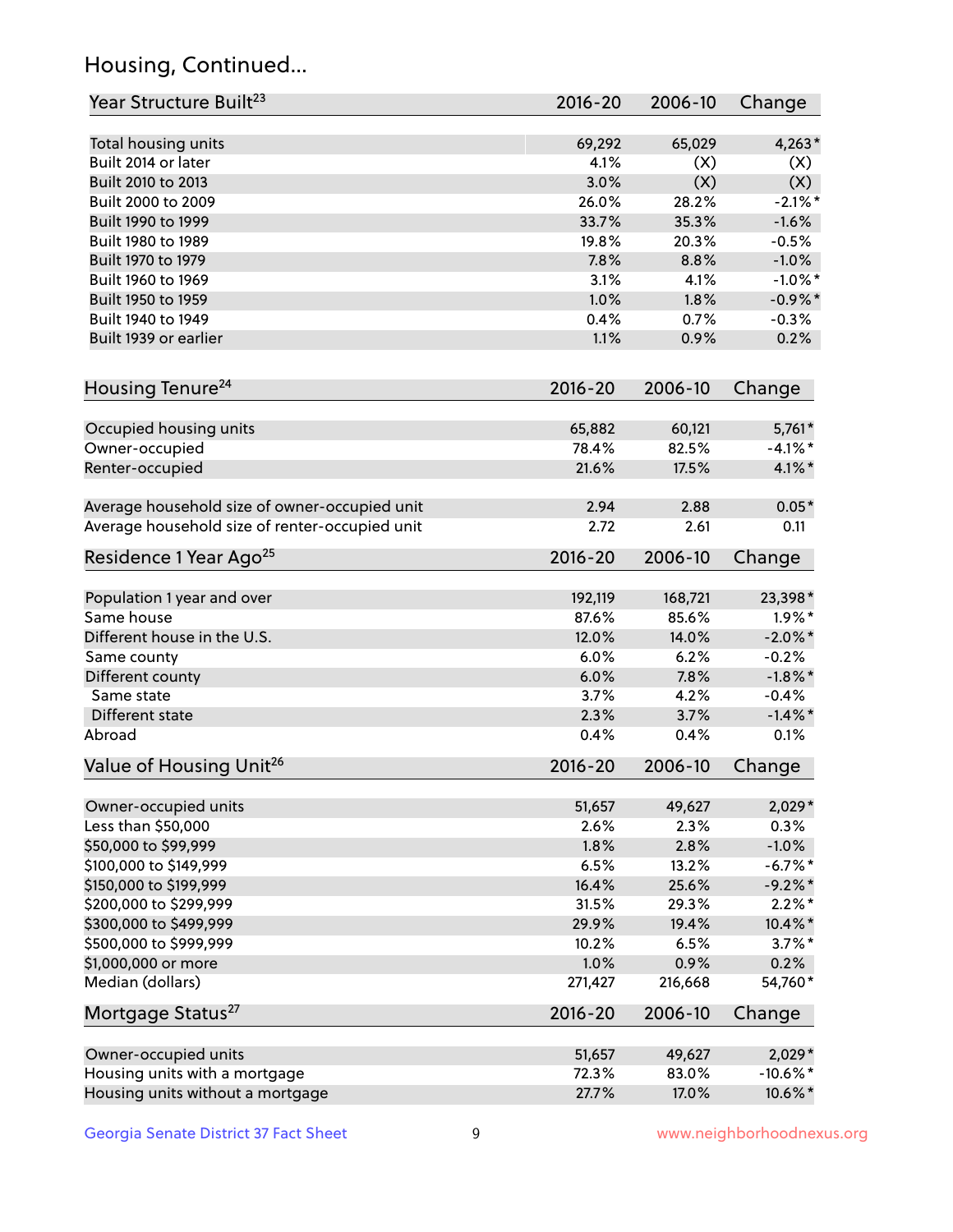## Housing, Continued...

| Year Structure Built <sup>23</sup>             | 2016-20     | 2006-10 | Change      |
|------------------------------------------------|-------------|---------|-------------|
| Total housing units                            | 69,292      | 65,029  | $4,263*$    |
| Built 2014 or later                            | 4.1%        | (X)     | (X)         |
| Built 2010 to 2013                             | 3.0%        | (X)     | (X)         |
| Built 2000 to 2009                             | 26.0%       | 28.2%   | $-2.1\%$ *  |
| Built 1990 to 1999                             | 33.7%       | 35.3%   | $-1.6%$     |
| Built 1980 to 1989                             | 19.8%       | 20.3%   | $-0.5%$     |
| Built 1970 to 1979                             | 7.8%        | 8.8%    | $-1.0%$     |
| Built 1960 to 1969                             | 3.1%        | 4.1%    | $-1.0\%$ *  |
| Built 1950 to 1959                             | 1.0%        | 1.8%    | $-0.9\%$ *  |
| Built 1940 to 1949                             | 0.4%        | 0.7%    | $-0.3%$     |
| Built 1939 or earlier                          | 1.1%        | 0.9%    | 0.2%        |
|                                                |             |         |             |
| Housing Tenure <sup>24</sup>                   | 2016-20     | 2006-10 | Change      |
| Occupied housing units                         | 65,882      | 60,121  | $5,761*$    |
| Owner-occupied                                 | 78.4%       | 82.5%   | $-4.1\%$ *  |
| Renter-occupied                                | 21.6%       | 17.5%   | $4.1\%$ *   |
| Average household size of owner-occupied unit  | 2.94        | 2.88    | $0.05*$     |
| Average household size of renter-occupied unit | 2.72        | 2.61    | 0.11        |
| Residence 1 Year Ago <sup>25</sup>             | 2016-20     | 2006-10 | Change      |
| Population 1 year and over                     | 192,119     | 168,721 | 23,398*     |
| Same house                                     | 87.6%       | 85.6%   | $1.9\%$ *   |
| Different house in the U.S.                    | 12.0%       | 14.0%   | $-2.0\%$ *  |
| Same county                                    | 6.0%        | 6.2%    | $-0.2%$     |
| Different county                               | 6.0%        | 7.8%    | $-1.8\%$ *  |
| Same state                                     | 3.7%        | 4.2%    | $-0.4%$     |
| Different state                                | 2.3%        | 3.7%    | $-1.4\%$ *  |
| Abroad                                         | 0.4%        | 0.4%    | 0.1%        |
| Value of Housing Unit <sup>26</sup>            | $2016 - 20$ | 2006-10 | Change      |
|                                                |             |         |             |
| Owner-occupied units                           | 51,657      | 49,627  | $2,029*$    |
| Less than \$50,000                             | 2.6%        | 2.3%    | 0.3%        |
| \$50,000 to \$99,999                           | 1.8%        | 2.8%    | $-1.0%$     |
| \$100,000 to \$149,999                         | 6.5%        | 13.2%   | $-6.7%$ *   |
| \$150,000 to \$199,999                         | 16.4%       | 25.6%   | $-9.2\%$ *  |
| \$200,000 to \$299,999                         | 31.5%       | 29.3%   | $2.2\%$ *   |
| \$300,000 to \$499,999                         | 29.9%       | 19.4%   | 10.4%*      |
| \$500,000 to \$999,999                         | 10.2%       | 6.5%    | $3.7\%$ *   |
| \$1,000,000 or more                            | 1.0%        | 0.9%    | 0.2%        |
| Median (dollars)                               | 271,427     | 216,668 | 54,760*     |
| Mortgage Status <sup>27</sup>                  | $2016 - 20$ | 2006-10 | Change      |
| Owner-occupied units                           | 51,657      | 49,627  | 2,029*      |
| Housing units with a mortgage                  | 72.3%       | 83.0%   | $-10.6\%$ * |
| Housing units without a mortgage               | 27.7%       | 17.0%   | 10.6%*      |
|                                                |             |         |             |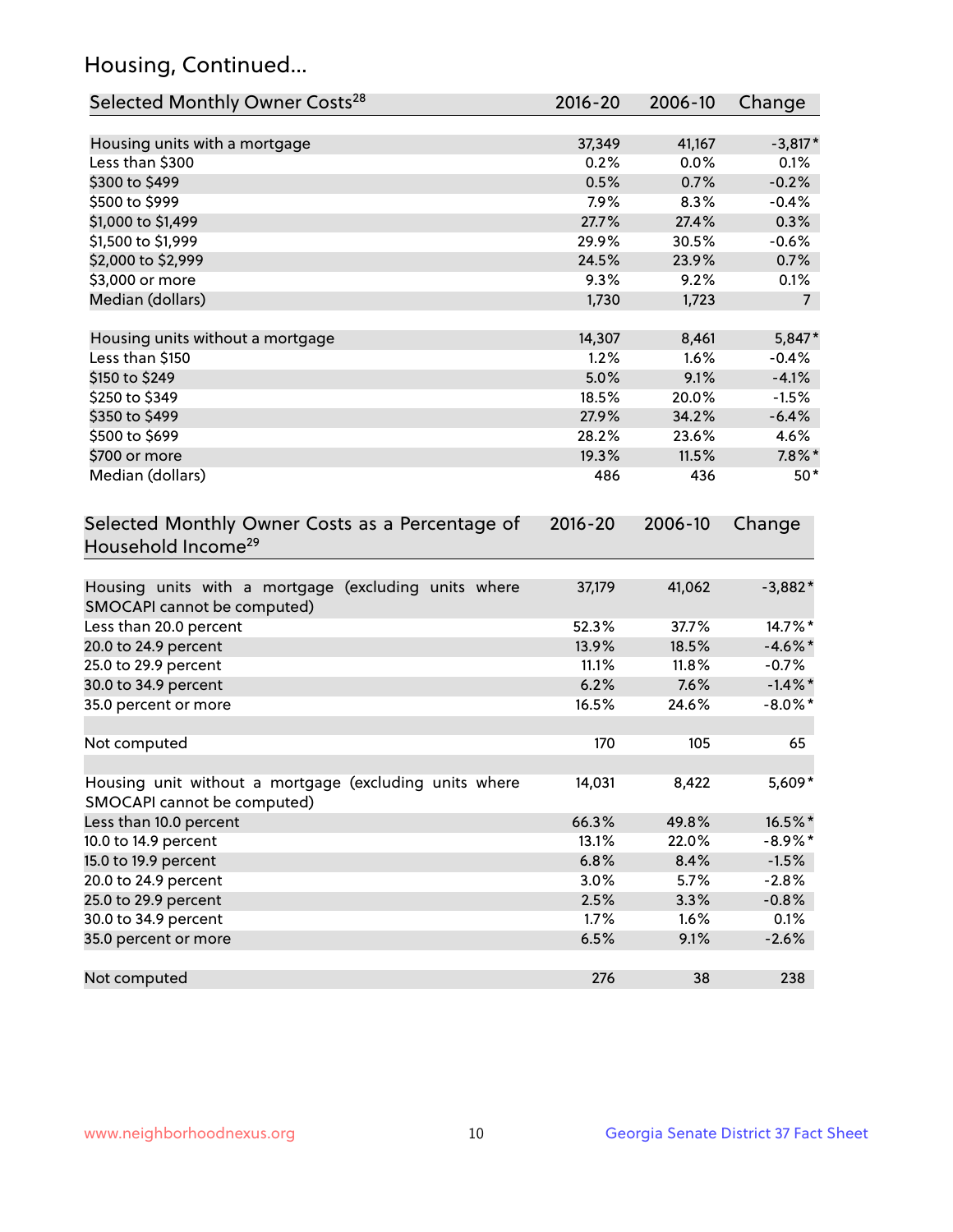## Housing, Continued...

| Selected Monthly Owner Costs <sup>28</sup>                                            | 2016-20 | 2006-10 | Change         |
|---------------------------------------------------------------------------------------|---------|---------|----------------|
| Housing units with a mortgage                                                         | 37,349  | 41,167  | $-3,817*$      |
| Less than \$300                                                                       | 0.2%    | 0.0%    | 0.1%           |
| \$300 to \$499                                                                        | 0.5%    | 0.7%    | $-0.2%$        |
| \$500 to \$999                                                                        | 7.9%    | 8.3%    | $-0.4%$        |
| \$1,000 to \$1,499                                                                    | 27.7%   | 27.4%   | 0.3%           |
| \$1,500 to \$1,999                                                                    | 29.9%   | 30.5%   | $-0.6%$        |
| \$2,000 to \$2,999                                                                    | 24.5%   | 23.9%   | 0.7%           |
| \$3,000 or more                                                                       | 9.3%    | 9.2%    | 0.1%           |
| Median (dollars)                                                                      | 1,730   | 1,723   | $\overline{7}$ |
| Housing units without a mortgage                                                      | 14,307  | 8,461   | 5,847*         |
| Less than \$150                                                                       | 1.2%    | 1.6%    | $-0.4%$        |
| \$150 to \$249                                                                        | 5.0%    | 9.1%    | $-4.1%$        |
| \$250 to \$349                                                                        | 18.5%   | 20.0%   | $-1.5%$        |
| \$350 to \$499                                                                        | 27.9%   | 34.2%   | $-6.4%$        |
| \$500 to \$699                                                                        | 28.2%   | 23.6%   | 4.6%           |
| \$700 or more                                                                         | 19.3%   | 11.5%   | $7.8\%$ *      |
| Median (dollars)                                                                      | 486     | 436     | $50*$          |
| Household Income <sup>29</sup>                                                        |         |         |                |
| Housing units with a mortgage (excluding units where<br>SMOCAPI cannot be computed)   | 37,179  | 41,062  | $-3,882*$      |
| Less than 20.0 percent                                                                | 52.3%   | 37.7%   | 14.7%*         |
| 20.0 to 24.9 percent                                                                  | 13.9%   | 18.5%   | $-4.6\%$ *     |
| 25.0 to 29.9 percent                                                                  | 11.1%   | 11.8%   | $-0.7%$        |
| 30.0 to 34.9 percent                                                                  | 6.2%    | 7.6%    | $-1.4\%$ *     |
| 35.0 percent or more                                                                  | 16.5%   | 24.6%   | $-8.0\%$ *     |
| Not computed                                                                          | 170     | 105     | 65             |
| Housing unit without a mortgage (excluding units where<br>SMOCAPI cannot be computed) | 14,031  | 8,422   | 5,609*         |
| Less than 10.0 percent                                                                | 66.3%   | 49.8%   | 16.5%*         |
| 10.0 to 14.9 percent                                                                  | 13.1%   | 22.0%   | $-8.9\%$ *     |
| 15.0 to 19.9 percent                                                                  | 6.8%    | 8.4%    | $-1.5%$        |
| 20.0 to 24.9 percent                                                                  | 3.0%    | 5.7%    | $-2.8%$        |
| 25.0 to 29.9 percent                                                                  | 2.5%    | 3.3%    | $-0.8%$        |
| 30.0 to 34.9 percent                                                                  | 1.7%    | 1.6%    | 0.1%           |
| 35.0 percent or more                                                                  | 6.5%    | 9.1%    | $-2.6%$        |
| Not computed                                                                          | 276     | 38      | 238            |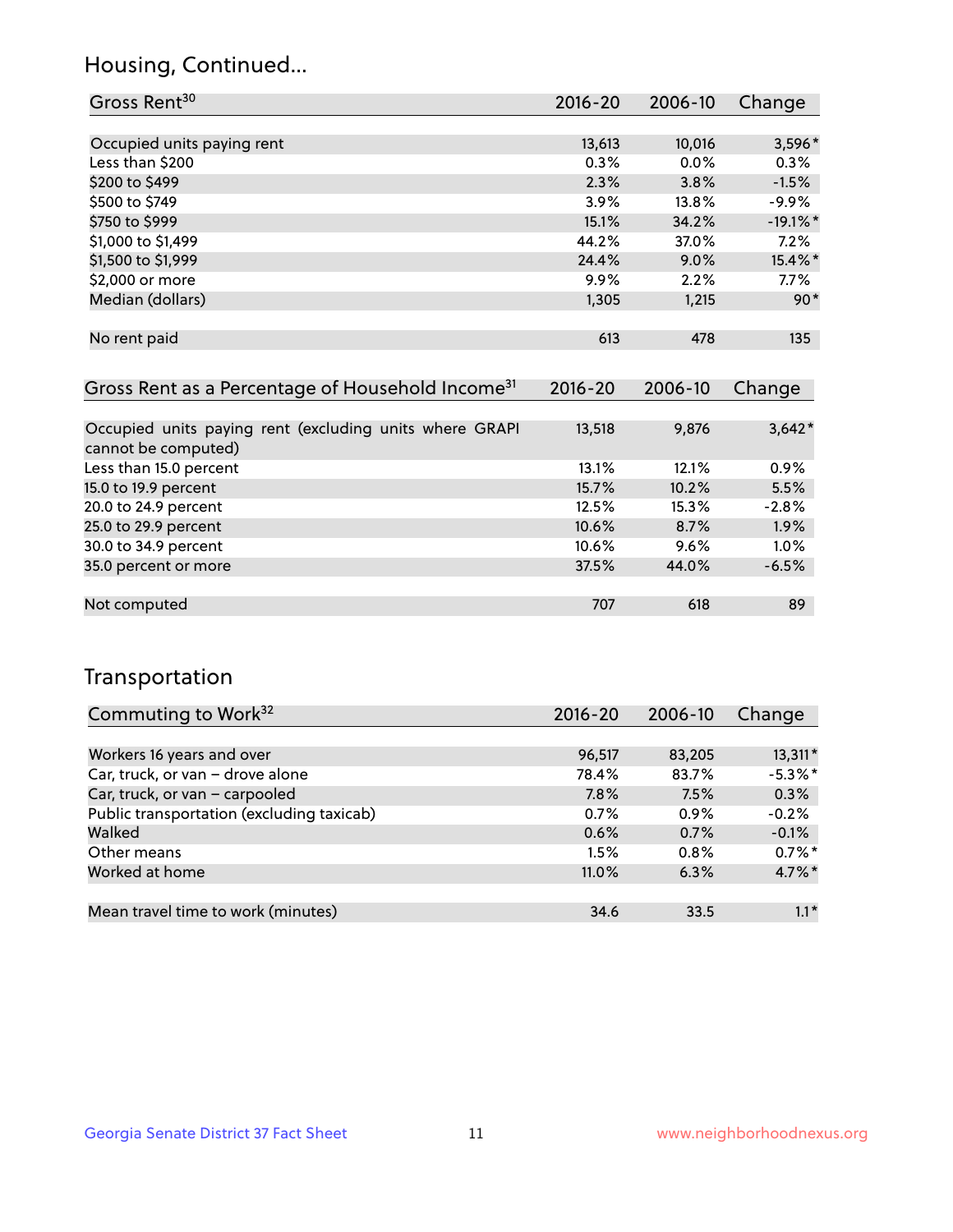## Housing, Continued...

| Gross Rent <sup>30</sup>   | 2016-20 | 2006-10 | Change      |
|----------------------------|---------|---------|-------------|
|                            |         |         |             |
| Occupied units paying rent | 13,613  | 10,016  | 3,596*      |
| Less than \$200            | 0.3%    | 0.0%    | 0.3%        |
| \$200 to \$499             | 2.3%    | 3.8%    | $-1.5%$     |
| \$500 to \$749             | 3.9%    | 13.8%   | $-9.9%$     |
| \$750 to \$999             | 15.1%   | 34.2%   | $-19.1\%$ * |
| \$1,000 to \$1,499         | 44.2%   | 37.0%   | 7.2%        |
| \$1,500 to \$1,999         | 24.4%   | 9.0%    | 15.4%*      |
| \$2,000 or more            | 9.9%    | 2.2%    | $7.7\%$     |
| Median (dollars)           | 1,305   | 1,215   | $90*$       |
|                            |         |         |             |
| No rent paid               | 613     | 478     | 135         |

| Gross Rent as a Percentage of Household Income <sup>31</sup>                   | $2016 - 20$ | 2006-10 | Change   |
|--------------------------------------------------------------------------------|-------------|---------|----------|
|                                                                                |             |         |          |
| Occupied units paying rent (excluding units where GRAPI<br>cannot be computed) | 13,518      | 9,876   | $3,642*$ |
| Less than 15.0 percent                                                         | 13.1%       | 12.1%   | 0.9%     |
| 15.0 to 19.9 percent                                                           | 15.7%       | 10.2%   | 5.5%     |
| 20.0 to 24.9 percent                                                           | 12.5%       | 15.3%   | $-2.8%$  |
| 25.0 to 29.9 percent                                                           | 10.6%       | 8.7%    | 1.9%     |
| 30.0 to 34.9 percent                                                           | $10.6\%$    | $9.6\%$ | 1.0%     |
| 35.0 percent or more                                                           | 37.5%       | 44.0%   | $-6.5%$  |
|                                                                                |             |         |          |
| Not computed                                                                   | 707         | 618     | 89       |

## Transportation

| Commuting to Work <sup>32</sup>           | 2016-20 | 2006-10 | Change     |
|-------------------------------------------|---------|---------|------------|
|                                           |         |         |            |
| Workers 16 years and over                 | 96,517  | 83,205  | $13,311*$  |
| Car, truck, or van - drove alone          | 78.4%   | 83.7%   | $-5.3\%$ * |
| Car, truck, or van - carpooled            | 7.8%    | 7.5%    | 0.3%       |
| Public transportation (excluding taxicab) | 0.7%    | $0.9\%$ | $-0.2%$    |
| Walked                                    | 0.6%    | 0.7%    | $-0.1%$    |
| Other means                               | 1.5%    | $0.8\%$ | $0.7\%$ *  |
| Worked at home                            | 11.0%   | 6.3%    | 4.7%*      |
|                                           |         |         |            |
| Mean travel time to work (minutes)        | 34.6    | 33.5    | $1.1*$     |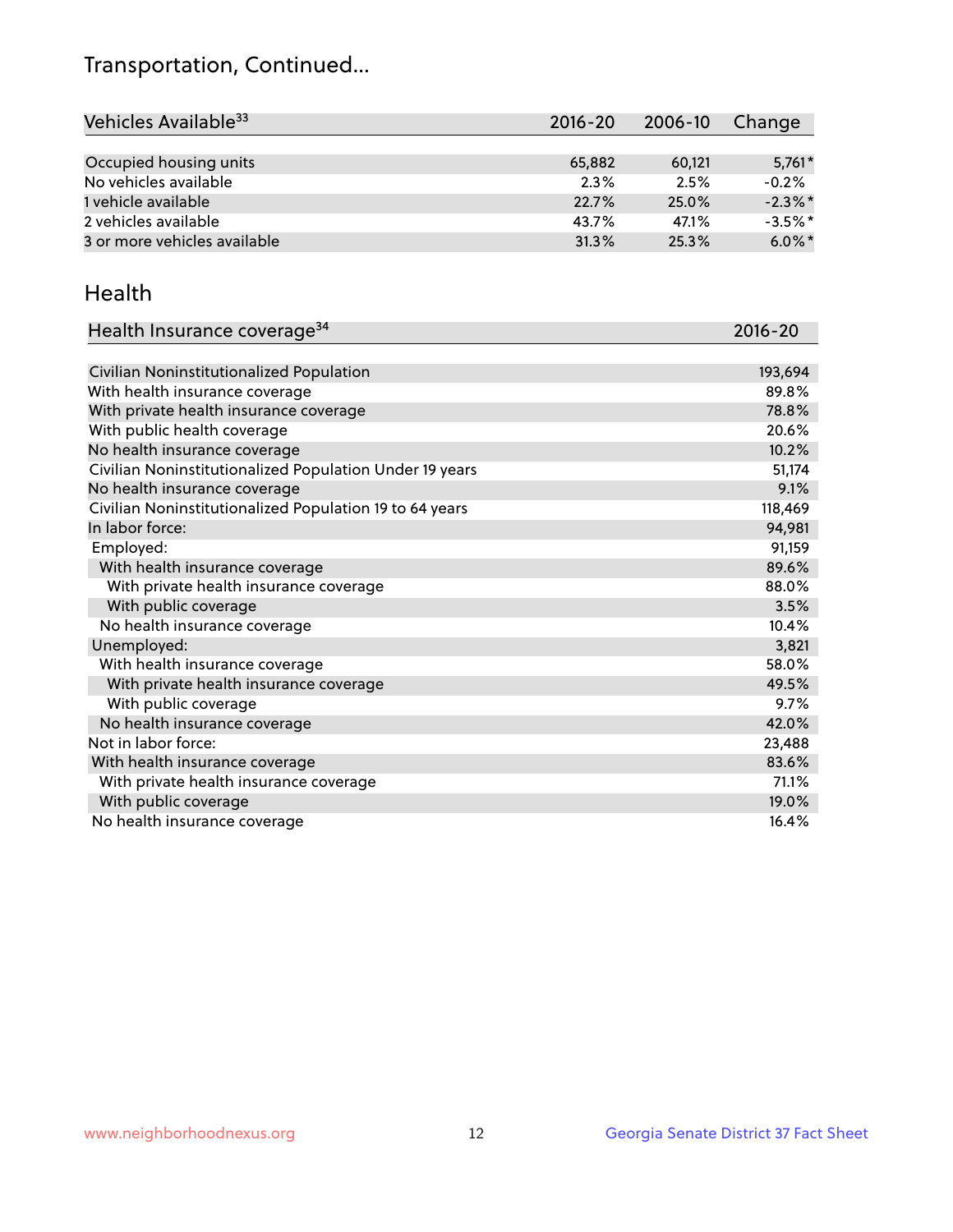## Transportation, Continued...

| Vehicles Available <sup>33</sup> | $2016 - 20$ | 2006-10 | Change     |
|----------------------------------|-------------|---------|------------|
|                                  |             |         |            |
| Occupied housing units           | 65,882      | 60,121  | $5,761*$   |
| No vehicles available            | 2.3%        | 2.5%    | $-0.2%$    |
| 1 vehicle available              | 22.7%       | 25.0%   | $-2.3\%$ * |
| 2 vehicles available             | 43.7%       | 47.1%   | $-3.5%$ *  |
| 3 or more vehicles available     | 31.3%       | 25.3%   | $6.0\%$ *  |

#### Health

| Health Insurance coverage <sup>34</sup>                 | 2016-20 |
|---------------------------------------------------------|---------|
|                                                         |         |
| Civilian Noninstitutionalized Population                | 193,694 |
| With health insurance coverage                          | 89.8%   |
| With private health insurance coverage                  | 78.8%   |
| With public health coverage                             | 20.6%   |
| No health insurance coverage                            | 10.2%   |
| Civilian Noninstitutionalized Population Under 19 years | 51,174  |
| No health insurance coverage                            | 9.1%    |
| Civilian Noninstitutionalized Population 19 to 64 years | 118,469 |
| In labor force:                                         | 94,981  |
| Employed:                                               | 91,159  |
| With health insurance coverage                          | 89.6%   |
| With private health insurance coverage                  | 88.0%   |
| With public coverage                                    | 3.5%    |
| No health insurance coverage                            | 10.4%   |
| Unemployed:                                             | 3,821   |
| With health insurance coverage                          | 58.0%   |
| With private health insurance coverage                  | 49.5%   |
| With public coverage                                    | 9.7%    |
| No health insurance coverage                            | 42.0%   |
| Not in labor force:                                     | 23,488  |
| With health insurance coverage                          | 83.6%   |
| With private health insurance coverage                  | 71.1%   |
| With public coverage                                    | 19.0%   |
| No health insurance coverage                            | 16.4%   |